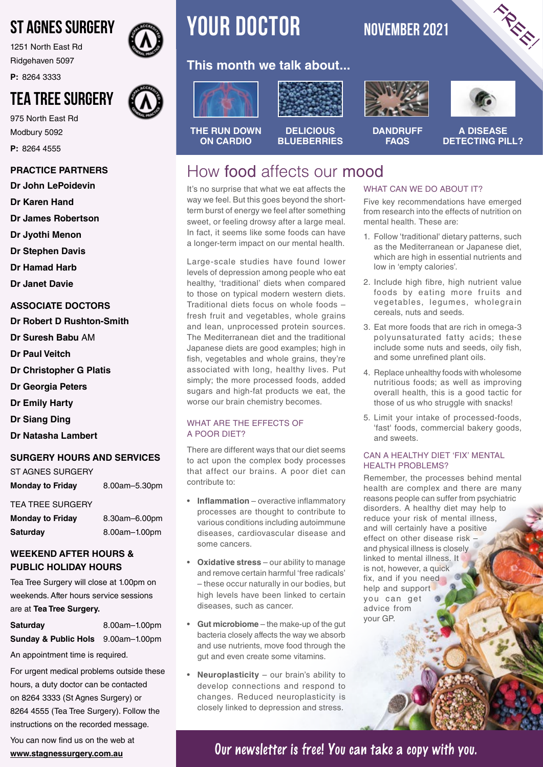# ST AGNES SURGERY

1251 North East Rd Ridgehaven 5097

**P:** 8264 3333

# TEA TREE SURGERY

975 North East Rd Modbury 5092 **P:** 8264 4555

#### **PRACTICE PARTNERS**

**Dr John LePoidevin**

**Dr Karen Hand**

**Dr James Robertson**

**Dr Jyothi Menon**

**Dr Stephen Davis**

**Dr Hamad Harb**

**Dr Janet Davie**

#### **ASSOCIATE DOCTORS**

**Dr Robert D Rushton-Smith** 

- **Dr Suresh Babu** AM
- **Dr Paul Veitch**
- **Dr Christopher G Platis**
- **Dr Georgia Peters**
- **Dr Emily Harty**
- **Dr Siang Ding**
- **Dr Natasha Lambert**

#### **SURGERY HOURS AND SERVICES**

| <b>Monday to Friday</b> | 8.00am-5.30pm |
|-------------------------|---------------|
| ST AGNES SURGERY        |               |

#### TEA TREE SURGERY

| <b>Monday to Friday</b> | 8.30am-6.00pm |
|-------------------------|---------------|
| <b>Saturday</b>         | 8.00am-1.00pm |

#### **WEEKEND AFTER HOURS & PUBLIC HOLIDAY HOURS**

Tea Tree Surgery will close at 1.00pm on weekends. After hours service sessions are at **Tea Tree Surgery.**

**Saturday** 8.00am–1.00pm **Sunday & Public Hols** 9.00am–1.00pm

An appointment time is required.

For urgent medical problems outside these hours, a duty doctor can be contacted on 8264 3333 (St Agnes Surgery) or 8264 4555 (Tea Tree Surgery). Follow the instructions on the recorded message.

You can now find us on the web at **www.stagnessurgery.com.au**



# **YOUR DOCTOR** NOVEMBER 2021

### **This month we talk about...**



**THE RUN DOWN ON CARDIO**







FREE!

**DANDRUFF FAQS A DISEASE DETECTING PILL?**

# How food affects our mood

It's no surprise that what we eat affects the way we feel. But this goes beyond the shortterm burst of energy we feel after something sweet, or feeling drowsy after a large meal. In fact, it seems like some foods can have a longer-term impact on our mental health.

Large-scale studies have found lower levels of depression among people who eat healthy, 'traditional' diets when compared to those on typical modern western diets. Traditional diets focus on whole foods – fresh fruit and vegetables, whole grains and lean, unprocessed protein sources. The Mediterranean diet and the traditional Japanese diets are good examples; high in fish, vegetables and whole grains, they're associated with long, healthy lives. Put simply; the more processed foods, added sugars and high-fat products we eat, the worse our brain chemistry becomes.

#### WHAT ARE THE EFFECTS OF A POOR DIET?

There are different ways that our diet seems to act upon the complex body processes that affect our brains. A poor diet can contribute to:

- **Inflammation** overactive inflammatory processes are thought to contribute to various conditions including autoimmune diseases, cardiovascular disease and some cancers.
- **Oxidative stress** our ability to manage and remove certain harmful 'free radicals' – these occur naturally in our bodies, but high levels have been linked to certain diseases, such as cancer.
- **Gut microbiome** the make-up of the gut bacteria closely affects the way we absorb and use nutrients, move food through the gut and even create some vitamins.
- **Neuroplasticity** our brain's ability to develop connections and respond to changes. Reduced neuroplasticity is closely linked to depression and stress.

#### WHAT CAN WE DO ABOUT IT?

Five key recommendations have emerged from research into the effects of nutrition on mental health. These are:

- 1. Follow 'traditional' dietary patterns, such as the Mediterranean or Japanese diet, which are high in essential nutrients and low in 'empty calories'.
- 2. Include high fibre, high nutrient value foods by eating more fruits and vegetables, legumes, wholegrain cereals, nuts and seeds.
- 3. Eat more foods that are rich in omega-3 polyunsaturated fatty acids; these include some nuts and seeds, oily fish, and some unrefined plant oils.
- 4. Replace unhealthy foods with wholesome nutritious foods; as well as improving overall health, this is a good tactic for those of us who struggle with snacks!
- 5. Limit your intake of processed-foods, 'fast' foods, commercial bakery goods, and sweets.

#### CAN A HEALTHY DIET 'FIX' MENTAL HEALTH PROBLEMS?

Remember, the processes behind mental health are complex and there are many reasons people can suffer from psychiatric disorders. A healthy diet may help to reduce your risk of mental illness, and will certainly have a positive effect on other disease risk – and physical illness is closely linked to mental illness. It is not, however, a quick fix, and if you need help and support you can get advice from your GP.

**Our newsletter is free! You can take a copy with you.**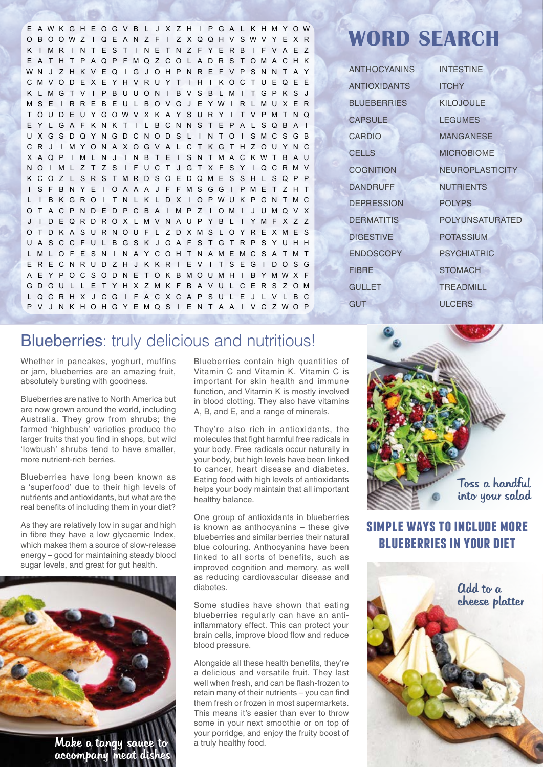E AWK GH E OG V B L J X Z H I P G A L K HMY OW O B OOWZ I Q E A N Z F I Z X QQH V SWV Y E X R K I MR I NT ES T I NE TNZ F YERB I F VAE Z E A T H T P AQP FMQZ CO L ADRS TOMACHK WN J Z H K V EQ I G J OH P NR E F V P S NN T A Y CMVODEXEYHVRUY T I H I KOCTUEQEE K LMGT V I P BUUON I B V S B LM I TGP K S J MS E I RRE B EU L BOVG J E YW I R LMUX ER T OU D E U Y GOWV X K A Y S U R Y I T V PM T NQ EYLGAFKNKT I LBCNNSTEPALSQBA I UXGSDQYNGDCNODS L I NTO I SMCSGB CR J I MYONAXOGVA L CT KGTHZOUYNC X AQP I ML N J I NB T E I SN TMACKWT B AU NO I ML Z T Z S I FUCT J GT X F SY I QCRMV KCOZ L SRS TMRDSOEDQME S SH L SQP P I S F BNYE I OAAA J F FMSGG I PME T ZHT L I B KGRO I T N L K L D X I OPWU K PGN TMC OT ACPNDEDPCB A I MP Z I OM I J UMQV X J I DEQRDROX LMVNAUPYB L I YMFXZ Z OTDKASURNOUF L ZDXMS LOYREXMES UASCCFULBGSK JGAFSTGTRPSYUHH LMLOF ESN I NAYCOHTNAMEMCSA TMT ERECNRUDZH J KKR I EV I TSEG I DOSG A E Y P O C S O D N E T O K BMO UMH I B YMWX F GDGU L L E T YHX ZMK F B A VU L CERS ZOM LQCRHX J CG I FACXCAPSUL E J L V L BC P V J N K HOHG Y EMQ S I E N T A A I V C ZWO P

# **WORD SEARCH**

ANTHOCYANINS ANTIOXIDANTS **BLUEBERRIES CAPSULE** CARDIO **CELLS COGNITION** DANDRUFF **DEPRESSION DERMATITIS DIGESTIVE** ENDOSCOPY FIBRE **GULLET GUT** 

INTESTINE **ITCHY** KILOJOULE **LEGUMES** MANGANESE MICROBIOME NEUROPLASTICITY **NUTRIENTS** POLYPS POLYUNSATURATED POTASSIUM **PSYCHIATRIC STOMACH TREADMILL** ULCERS

# Blueberries: truly delicious and nutritious!

Whether in pancakes, yoghurt, muffins or jam, blueberries are an amazing fruit, absolutely bursting with goodness.

Blueberries are native to North America but are now grown around the world, including Australia. They grow from shrubs; the farmed 'highbush' varieties produce the larger fruits that you find in shops, but wild 'lowbush' shrubs tend to have smaller, more nutrient-rich berries.

Blueberries have long been known as a 'superfood' due to their high levels of nutrients and antioxidants, but what are the real benefits of including them in your diet?

As they are relatively low in sugar and high in fibre they have a low glycaemic Index, which makes them a source of slow-release energy – good for maintaining steady blood sugar levels, and great for gut health.



accompany meat dis

Blueberries contain high quantities of Vitamin C and Vitamin K. Vitamin C is important for skin health and immune function, and Vitamin K is mostly involved in blood clotting. They also have vitamins A, B, and E, and a range of minerals.

They're also rich in antioxidants, the molecules that fight harmful free radicals in your body. Free radicals occur naturally in your body, but high levels have been linked to cancer, heart disease and diabetes. Eating food with high levels of antioxidants helps your body maintain that all important healthy balance.

One group of antioxidants in blueberries is known as anthocyanins – these give blueberries and similar berries their natural blue colouring. Anthocyanins have been linked to all sorts of benefits, such as improved cognition and memory, as well as reducing cardiovascular disease and diabetes.

Some studies have shown that eating blueberries regularly can have an antiinflammatory effect. This can protect your brain cells, improve blood flow and reduce blood pressure.

Alongside all these health benefits, they're a delicious and versatile fruit. They last well when fresh, and can be flash-frozen to retain many of their nutrients – you can find them fresh or frozen in most supermarkets. This means it's easier than ever to throw some in your next smoothie or on top of your porridge, and enjoy the fruity boost of a truly healthy food.

# Toss a handful into your salad

## **simple ways to include more blueberries in your diet**

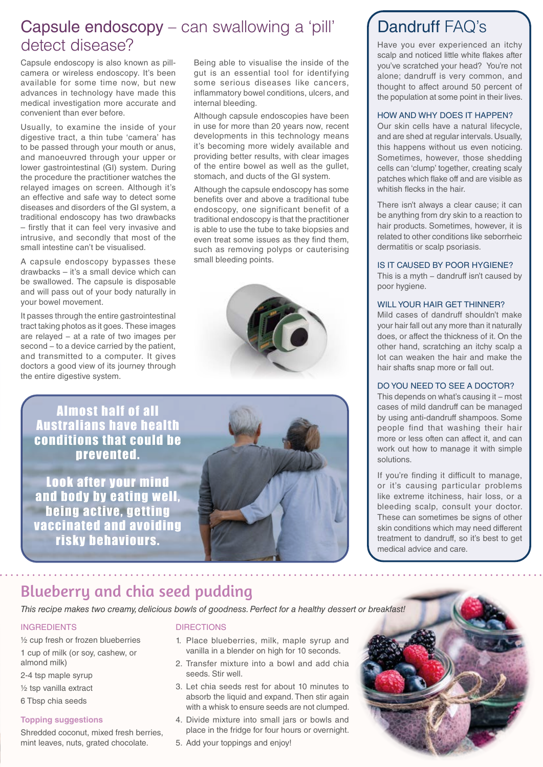# Capsule endoscopy – can swallowing a 'pill' detect disease?

Capsule endoscopy is also known as pillcamera or wireless endoscopy. It's been available for some time now, but new advances in technology have made this medical investigation more accurate and convenient than ever before.

Usually, to examine the inside of your digestive tract, a thin tube 'camera' has to be passed through your mouth or anus, and manoeuvred through your upper or lower gastrointestinal (GI) system. During the procedure the practitioner watches the relayed images on screen. Although it's an effective and safe way to detect some diseases and disorders of the GI system, a traditional endoscopy has two drawbacks – firstly that it can feel very invasive and intrusive, and secondly that most of the small intestine can't be visualised.

A capsule endoscopy bypasses these drawbacks – it's a small device which can be swallowed. The capsule is disposable and will pass out of your body naturally in your bowel movement.

It passes through the entire gastrointestinal tract taking photos as it goes. These images are relayed − at a rate of two images per second – to a device carried by the patient, and transmitted to a computer. It gives doctors a good view of its journey through the entire digestive system.

Being able to visualise the inside of the gut is an essential tool for identifying some serious diseases like cancers, inflammatory bowel conditions, ulcers, and internal bleeding.

Although capsule endoscopies have been in use for more than 20 years now, recent developments in this technology means it's becoming more widely available and providing better results, with clear images of the entire bowel as well as the gullet, stomach, and ducts of the GI system.

Although the capsule endoscopy has some benefits over and above a traditional tube endoscopy, one significant benefit of a traditional endoscopy is that the practitioner is able to use the tube to take biopsies and even treat some issues as they find them, such as removing polyps or cauterising small bleeding points.



Almost half of all Australians have health conditions that could be prevented.

Look after your mind and body by eating well being active, getting vaccinated and avoiding risky behaviours.



# Dandruff FAQ's

Have you ever experienced an itchy scalp and noticed little white flakes after you've scratched your head? You're not alone; dandruff is very common, and thought to affect around 50 percent of the population at some point in their lives.

#### HOW AND WHY DOES IT HAPPEN?

Our skin cells have a natural lifecycle, and are shed at regular intervals. Usually, this happens without us even noticing. Sometimes, however, those shedding cells can 'clump' together, creating scaly patches which flake off and are visible as whitish flecks in the hair.

There isn't always a clear cause; it can be anything from dry skin to a reaction to hair products. Sometimes, however, it is related to other conditions like seborrheic dermatitis or scalp psoriasis.

#### IS IT CAUSED BY POOR HYGIENE?

This is a myth – dandruff isn't caused by poor hygiene.

#### WILL YOUR HAIR GET THINNER?

Mild cases of dandruff shouldn't make your hair fall out any more than it naturally does, or affect the thickness of it. On the other hand, scratching an itchy scalp a lot can weaken the hair and make the hair shafts snap more or fall out.

#### DO YOU NEED TO SEE A DOCTOR?

This depends on what's causing it – most cases of mild dandruff can be managed by using anti-dandruff shampoos. Some people find that washing their hair more or less often can affect it, and can work out how to manage it with simple solutions.

If you're finding it difficult to manage, or it's causing particular problems like extreme itchiness, hair loss, or a bleeding scalp, consult your doctor. These can sometimes be signs of other skin conditions which may need different treatment to dandruff, so it's best to get medical advice and care.

## Blueberry and chia seed pudding

*This recipe makes two creamy, delicious bowls of goodness. Perfect for a healthy dessert or breakfast!*

#### INGREDIENTS

½ cup fresh or frozen blueberries 1 cup of milk (or soy, cashew, or

almond milk)

- 2-4 tsp maple syrup
- ½ tsp vanilla extract
- 6 Tbsp chia seeds

#### **Topping suggestions**

Shredded coconut, mixed fresh berries, mint leaves, nuts, grated chocolate.

#### **DIRECTIONS**

- 1. Place blueberries, milk, maple syrup and vanilla in a blender on high for 10 seconds.
- 2. Transfer mixture into a bowl and add chia seeds. Stir well.
- 3. Let chia seeds rest for about 10 minutes to absorb the liquid and expand. Then stir again with a whisk to ensure seeds are not clumped.
- 4. Divide mixture into small jars or bowls and place in the fridge for four hours or overnight.
- 5. Add your toppings and enjoy!